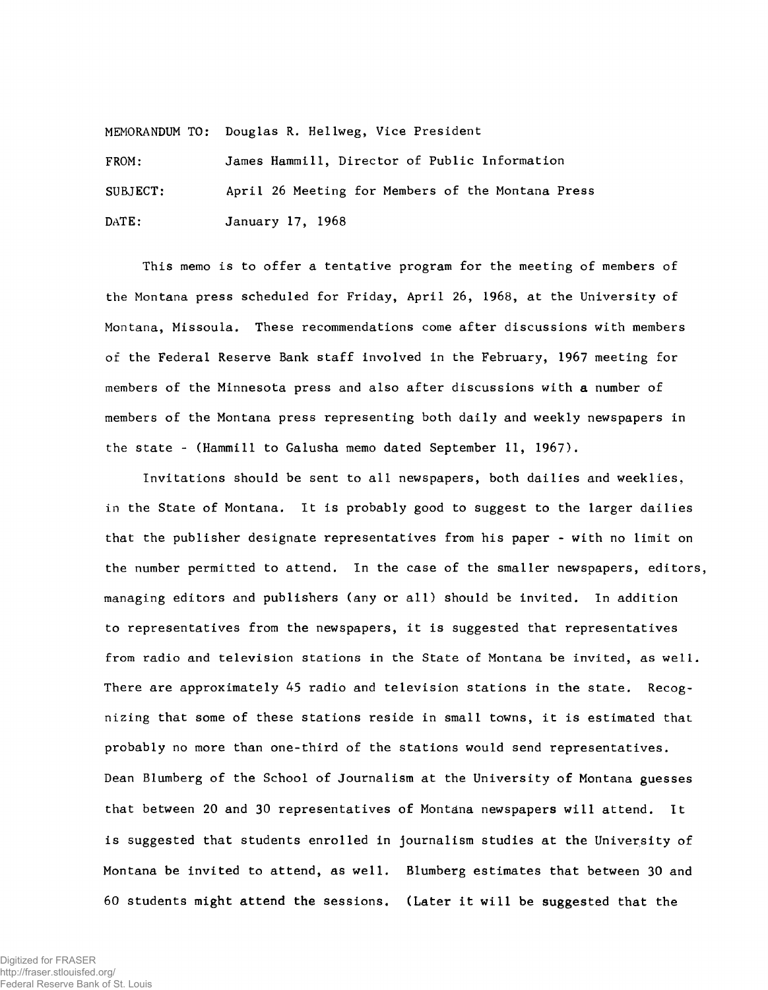MEMORANDUM TO: Douglas R. Hellweg, Vice President

FROM: James Hammill, Director of Public Information SUBJECT: April 26 Meeting for Members of the Montana Press DATE: January 17, 1968

This memo is to offer a tentative program for the meeting of members of the Montana press scheduled for Friday, April 26, 1968, at the University of Montana, Missoula. These recommendations come after discussions with members of the Federal Reserve Bank staff involved in the February, 1967 meeting for members of the Minnesota press and also after discussions with a number of members of the Montana press representing both daily and weekly newspapers in the state - (Hammill to Galusha memo dated September 11, 1967).

Invitations should be sent to all newspapers, both dailies and weeklies, in the State of Montana. It is probably good to suggest to the larger dailies that the publisher designate representatives from his paper - with no limit on the number permitted to attend. In the case of the smaller newspapers, editors, managing editors and publishers (any or all) should be invited. In addition to representatives from the newspapers, it is suggested that representatives from radio and television stations in the State of Montana be invited, as well. There are approximately 45 radio and television stations in the state. Recognizing that some of these stations reside in small towns, it is estimated that probably no more than one-third of the stations would send representatives. Dean Blumberg of the School of Journalism at the University of Montana guesses that between 20 and 30 representatives of Montana newspapers will attend. It is suggested that students enrolled in journalism studies at the University of Montana be invited to attend, as well. Blumberg estimates that between 30 and 60 students might attend the sessions. (Later it will be suggested that the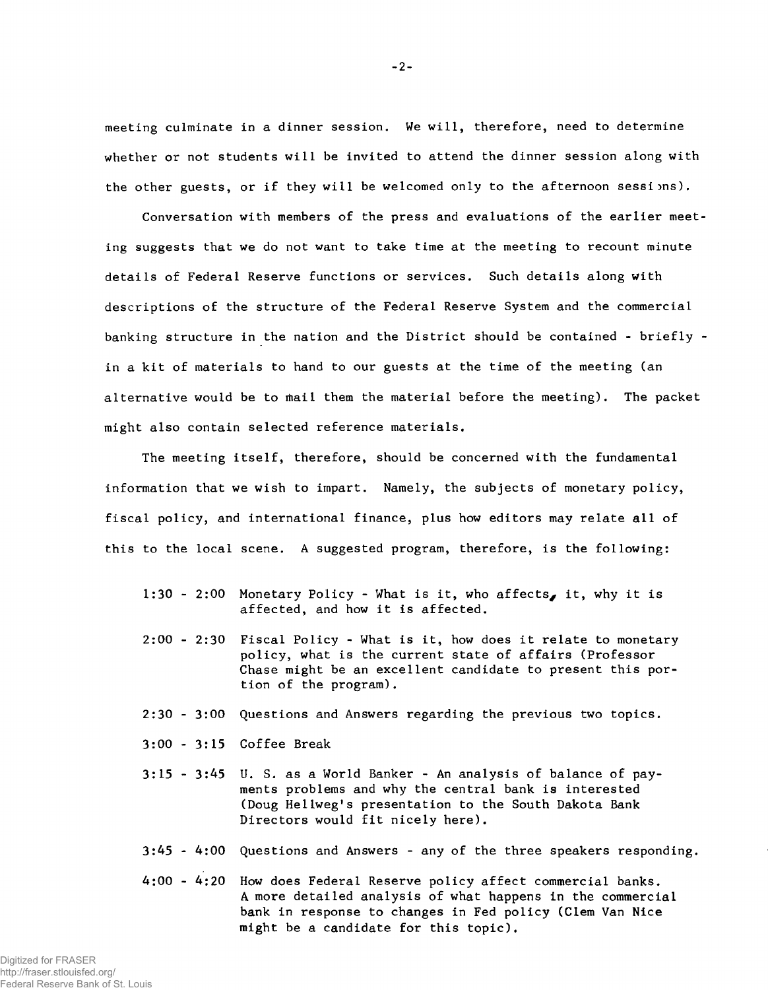meeting culminate in a dinner session. We will, therefore, need to determine whether or not students will be invited to attend the dinner session along with the other guests, or if they will be welcomed only to the afternoon sessions).

Conversation with members of the press and evaluations of the earlier meeting suggests that we do not want to take time at the meeting to recount minute details of Federal Reserve functions or services. Such details along with descriptions of the structure of the Federal Reserve System and the commercial banking structure in the nation and the District should be contained - briefly in a kit of materials to hand to our guests at the time of the meeting (an alternative would be to mail them the material before the meeting). The packet might also contain selected reference materials.

The meeting itself, therefore, should be concerned with the fundamental information that we wish to impart. Namely, the subjects of monetary policy, fiscal policy, and international finance, plus how editors may relate all of this to the local scene. A suggested program, therefore, is the following:

- 1:30 2:00 Monetary Policy What is it, who affects, it, why it is affected, and how it is affected.
- $2:00$   $2:30$  Fiscal Policy What is it, how does it relate to monetary policy, what is the current state of affairs (Professor Chase might be an excellent candidate to present this portion of the program).
- $2:30$   $3:00$  Questions and Answers regarding the previous two topics.
- 3:00 3:15 Coffee Break
- $3:15$   $3:45$  U. S. as a World Banker An analysis of balance of payments problems and why the central bank is interested (Doug Hellweg's presentation to the South Dakota Bank Directors would fit nicely here).
- 3:45 4:00 Questions and Answers any of the three speakers responding.
- 4:00 4:20 How does Federal Reserve policy affect commercial banks. A more detailed analysis of what happens in the commercial bank in response to changes in Fed policy (Clem Van Nice might be a candidate for this topic).

-2-